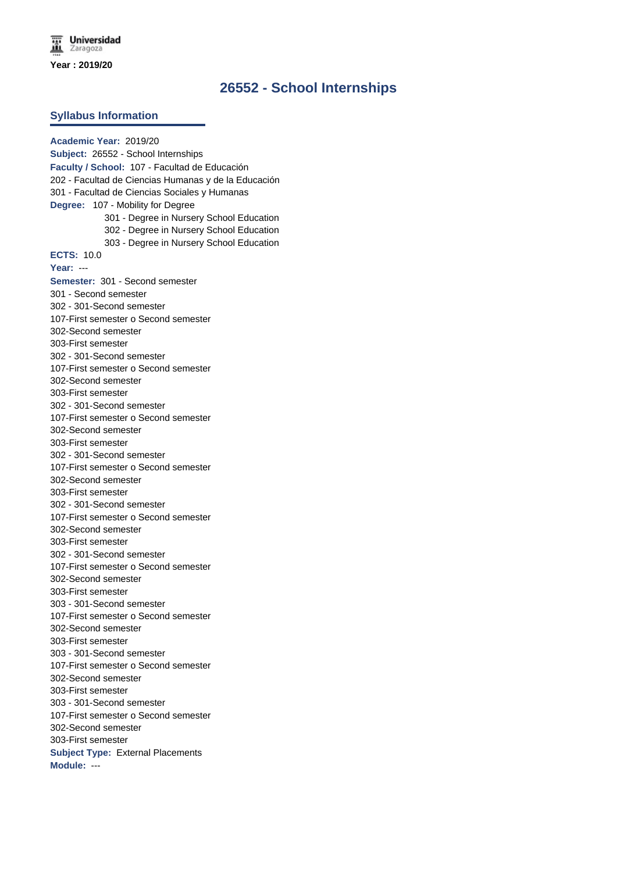## **26552 - School Internships**

#### **Syllabus Information**

**Academic Year:** 2019/20 **Subject:** 26552 - School Internships **Faculty / School:** 107 - Facultad de Educación 202 - Facultad de Ciencias Humanas y de la Educación 301 - Facultad de Ciencias Sociales y Humanas **Degree:** 107 - Mobility for Degree 301 - Degree in Nursery School Education 302 - Degree in Nursery School Education 303 - Degree in Nursery School Education **ECTS:** 10.0 **Year:** --- **Semester:** 301 - Second semester 301 - Second semester 302 - 301-Second semester 107-First semester o Second semester 302-Second semester 303-First semester 302 - 301-Second semester 107-First semester o Second semester 302-Second semester 303-First semester 302 - 301-Second semester 107-First semester o Second semester 302-Second semester 303-First semester 302 - 301-Second semester 107-First semester o Second semester 302-Second semester 303-First semester 302 - 301-Second semester 107-First semester o Second semester 302-Second semester 303-First semester 302 - 301-Second semester 107-First semester o Second semester 302-Second semester 303-First semester 303 - 301-Second semester 107-First semester o Second semester 302-Second semester 303-First semester 303 - 301-Second semester 107-First semester o Second semester 302-Second semester 303-First semester 303 - 301-Second semester 107-First semester o Second semester 302-Second semester 303-First semester **Subject Type:** External Placements **Module:** ---